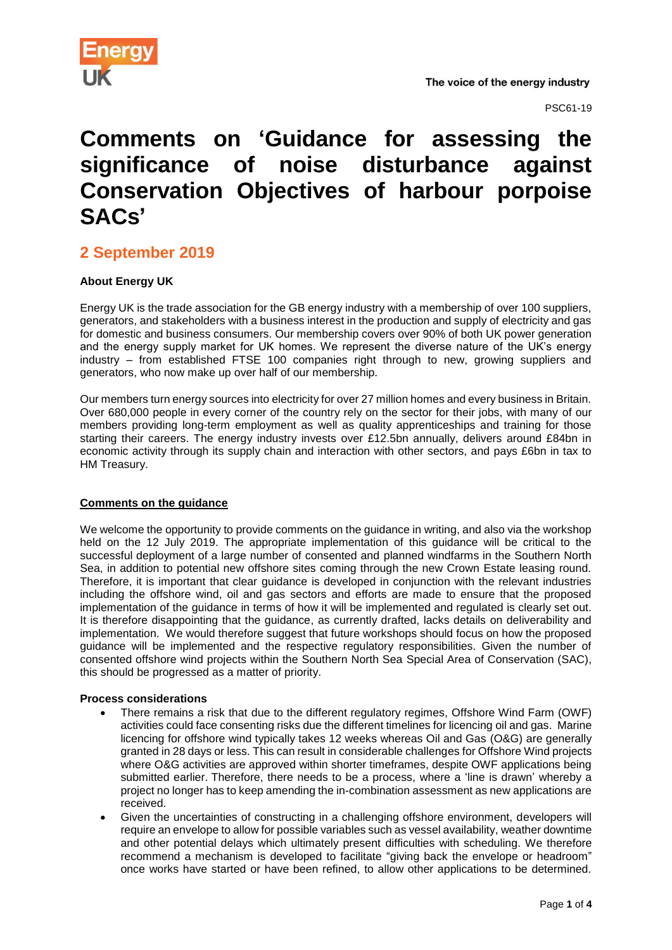

PSC61-19

# **Comments on 'Guidance for assessing the significance of noise disturbance against Conservation Objectives of harbour porpoise SACs'**

# **2 September 2019**

## **About Energy UK**

Energy UK is the trade association for the GB energy industry with a membership of over 100 suppliers, generators, and stakeholders with a business interest in the production and supply of electricity and gas for domestic and business consumers. Our membership covers over 90% of both UK power generation and the energy supply market for UK homes. We represent the diverse nature of the UK's energy industry – from established FTSE 100 companies right through to new, growing suppliers and generators, who now make up over half of our membership.

Our members turn energy sources into electricity for over 27 million homes and every business in Britain. Over 680,000 people in every corner of the country rely on the sector for their jobs, with many of our members providing long-term employment as well as quality apprenticeships and training for those starting their careers. The energy industry invests over £12.5bn annually, delivers around £84bn in economic activity through its supply chain and interaction with other sectors, and pays £6bn in tax to HM Treasury.

### **Comments on the guidance**

We welcome the opportunity to provide comments on the guidance in writing, and also via the workshop held on the 12 July 2019. The appropriate implementation of this guidance will be critical to the successful deployment of a large number of consented and planned windfarms in the Southern North Sea, in addition to potential new offshore sites coming through the new Crown Estate leasing round. Therefore, it is important that clear guidance is developed in conjunction with the relevant industries including the offshore wind, oil and gas sectors and efforts are made to ensure that the proposed implementation of the guidance in terms of how it will be implemented and regulated is clearly set out. It is therefore disappointing that the guidance, as currently drafted, lacks details on deliverability and implementation. We would therefore suggest that future workshops should focus on how the proposed guidance will be implemented and the respective regulatory responsibilities. Given the number of consented offshore wind projects within the Southern North Sea Special Area of Conservation (SAC), this should be progressed as a matter of priority.

#### **Process considerations**

- There remains a risk that due to the different regulatory regimes, Offshore Wind Farm (OWF) activities could face consenting risks due the different timelines for licencing oil and gas. Marine licencing for offshore wind typically takes 12 weeks whereas Oil and Gas (O&G) are generally granted in 28 days or less. This can result in considerable challenges for Offshore Wind projects where O&G activities are approved within shorter timeframes, despite OWF applications being submitted earlier. Therefore, there needs to be a process, where a 'line is drawn' whereby a project no longer has to keep amending the in-combination assessment as new applications are received.
- Given the uncertainties of constructing in a challenging offshore environment, developers will require an envelope to allow for possible variables such as vessel availability, weather downtime and other potential delays which ultimately present difficulties with scheduling. We therefore recommend a mechanism is developed to facilitate "giving back the envelope or headroom" once works have started or have been refined, to allow other applications to be determined.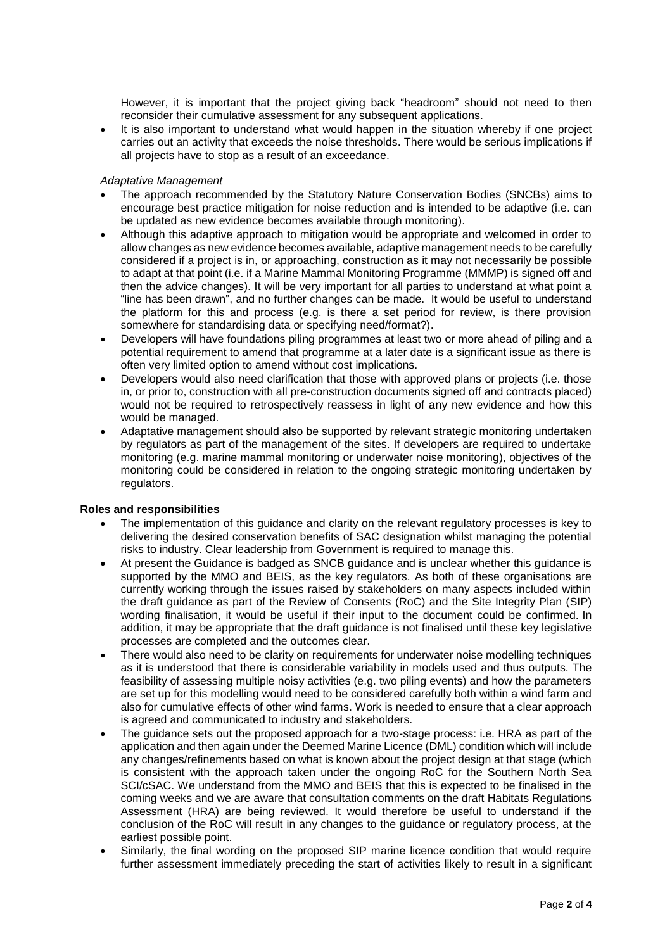However, it is important that the project giving back "headroom" should not need to then reconsider their cumulative assessment for any subsequent applications.

 It is also important to understand what would happen in the situation whereby if one project carries out an activity that exceeds the noise thresholds. There would be serious implications if all projects have to stop as a result of an exceedance.

#### *Adaptative Management*

- The approach recommended by the Statutory Nature Conservation Bodies (SNCBs) aims to encourage best practice mitigation for noise reduction and is intended to be adaptive (i.e. can be updated as new evidence becomes available through monitoring).
- Although this adaptive approach to mitigation would be appropriate and welcomed in order to allow changes as new evidence becomes available, adaptive management needs to be carefully considered if a project is in, or approaching, construction as it may not necessarily be possible to adapt at that point (i.e. if a Marine Mammal Monitoring Programme (MMMP) is signed off and then the advice changes). It will be very important for all parties to understand at what point a "line has been drawn", and no further changes can be made. It would be useful to understand the platform for this and process (e.g. is there a set period for review, is there provision somewhere for standardising data or specifying need/format?).
- Developers will have foundations piling programmes at least two or more ahead of piling and a potential requirement to amend that programme at a later date is a significant issue as there is often very limited option to amend without cost implications.
- Developers would also need clarification that those with approved plans or projects (i.e. those in, or prior to, construction with all pre-construction documents signed off and contracts placed) would not be required to retrospectively reassess in light of any new evidence and how this would be managed.
- Adaptative management should also be supported by relevant strategic monitoring undertaken by regulators as part of the management of the sites. If developers are required to undertake monitoring (e.g. marine mammal monitoring or underwater noise monitoring), objectives of the monitoring could be considered in relation to the ongoing strategic monitoring undertaken by regulators.

#### **Roles and responsibilities**

- The implementation of this guidance and clarity on the relevant regulatory processes is key to delivering the desired conservation benefits of SAC designation whilst managing the potential risks to industry. Clear leadership from Government is required to manage this.
- At present the Guidance is badged as SNCB guidance and is unclear whether this guidance is supported by the MMO and BEIS, as the key regulators. As both of these organisations are currently working through the issues raised by stakeholders on many aspects included within the draft guidance as part of the Review of Consents (RoC) and the Site Integrity Plan (SIP) wording finalisation, it would be useful if their input to the document could be confirmed. In addition, it may be appropriate that the draft guidance is not finalised until these key legislative processes are completed and the outcomes clear.
- There would also need to be clarity on requirements for underwater noise modelling techniques as it is understood that there is considerable variability in models used and thus outputs. The feasibility of assessing multiple noisy activities (e.g. two piling events) and how the parameters are set up for this modelling would need to be considered carefully both within a wind farm and also for cumulative effects of other wind farms. Work is needed to ensure that a clear approach is agreed and communicated to industry and stakeholders.
- The guidance sets out the proposed approach for a two-stage process: i.e. HRA as part of the application and then again under the Deemed Marine Licence (DML) condition which will include any changes/refinements based on what is known about the project design at that stage (which is consistent with the approach taken under the ongoing RoC for the Southern North Sea SCI/cSAC. We understand from the MMO and BEIS that this is expected to be finalised in the coming weeks and we are aware that consultation comments on the draft Habitats Regulations Assessment (HRA) are being reviewed. It would therefore be useful to understand if the conclusion of the RoC will result in any changes to the guidance or regulatory process, at the earliest possible point.
- Similarly, the final wording on the proposed SIP marine licence condition that would require further assessment immediately preceding the start of activities likely to result in a significant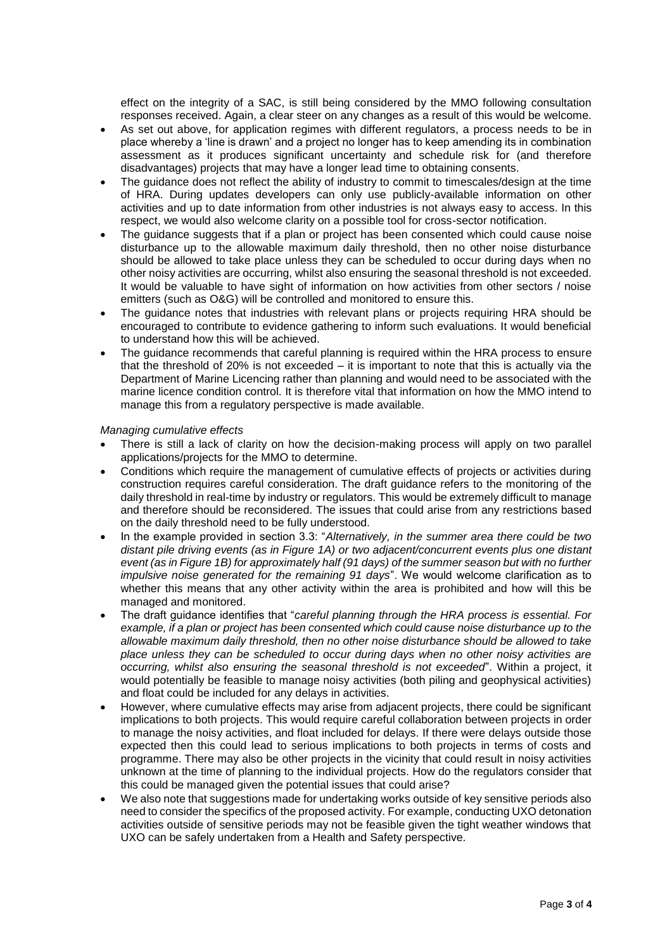effect on the integrity of a SAC, is still being considered by the MMO following consultation responses received. Again, a clear steer on any changes as a result of this would be welcome.

- As set out above, for application regimes with different regulators, a process needs to be in place whereby a 'line is drawn' and a project no longer has to keep amending its in combination assessment as it produces significant uncertainty and schedule risk for (and therefore disadvantages) projects that may have a longer lead time to obtaining consents.
- The guidance does not reflect the ability of industry to commit to timescales/design at the time of HRA. During updates developers can only use publicly-available information on other activities and up to date information from other industries is not always easy to access. In this respect, we would also welcome clarity on a possible tool for cross-sector notification.
- The guidance suggests that if a plan or project has been consented which could cause noise disturbance up to the allowable maximum daily threshold, then no other noise disturbance should be allowed to take place unless they can be scheduled to occur during days when no other noisy activities are occurring, whilst also ensuring the seasonal threshold is not exceeded. It would be valuable to have sight of information on how activities from other sectors / noise emitters (such as O&G) will be controlled and monitored to ensure this.
- The guidance notes that industries with relevant plans or projects requiring HRA should be encouraged to contribute to evidence gathering to inform such evaluations. It would beneficial to understand how this will be achieved.
- The guidance recommends that careful planning is required within the HRA process to ensure that the threshold of 20% is not exceeded – it is important to note that this is actually via the Department of Marine Licencing rather than planning and would need to be associated with the marine licence condition control. It is therefore vital that information on how the MMO intend to manage this from a regulatory perspective is made available.

#### *Managing cumulative effects*

- There is still a lack of clarity on how the decision-making process will apply on two parallel applications/projects for the MMO to determine.
- Conditions which require the management of cumulative effects of projects or activities during construction requires careful consideration. The draft guidance refers to the monitoring of the daily threshold in real-time by industry or regulators. This would be extremely difficult to manage and therefore should be reconsidered. The issues that could arise from any restrictions based on the daily threshold need to be fully understood.
- In the example provided in section 3.3: "*Alternatively, in the summer area there could be two distant pile driving events (as in Figure 1A) or two adjacent/concurrent events plus one distant event (as in Figure 1B) for approximately half (91 days) of the summer season but with no further impulsive noise generated for the remaining 91 days*". We would welcome clarification as to whether this means that any other activity within the area is prohibited and how will this be managed and monitored.
- The draft guidance identifies that "*careful planning through the HRA process is essential. For example, if a plan or project has been consented which could cause noise disturbance up to the allowable maximum daily threshold, then no other noise disturbance should be allowed to take place unless they can be scheduled to occur during days when no other noisy activities are occurring, whilst also ensuring the seasonal threshold is not exceeded*". Within a project, it would potentially be feasible to manage noisy activities (both piling and geophysical activities) and float could be included for any delays in activities.
- However, where cumulative effects may arise from adjacent projects, there could be significant implications to both projects. This would require careful collaboration between projects in order to manage the noisy activities, and float included for delays. If there were delays outside those expected then this could lead to serious implications to both projects in terms of costs and programme. There may also be other projects in the vicinity that could result in noisy activities unknown at the time of planning to the individual projects. How do the regulators consider that this could be managed given the potential issues that could arise?
- We also note that suggestions made for undertaking works outside of key sensitive periods also need to consider the specifics of the proposed activity. For example, conducting UXO detonation activities outside of sensitive periods may not be feasible given the tight weather windows that UXO can be safely undertaken from a Health and Safety perspective.